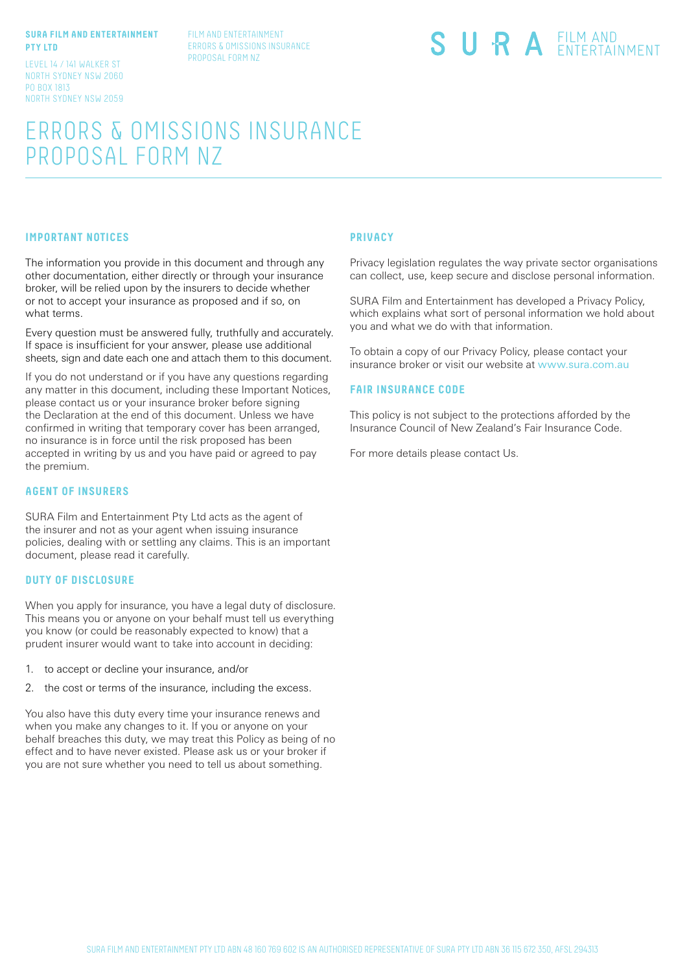#### **SURA FILM AND ENTERTAINMENT PTY LTD**

LEVEL 14 / 141 WALKER ST NORTH SYDNEY NSW 2060 PO BOX 1813 NORTH SYDNEY NSW 2059 FILM AND ENTERTAINMENT ERRORS & OMISSIONS INSURANCE PROPOSAL FORM NZ

# SURA EILM AND

# ERRORS & OMISSIONS INSURANCE PROPOSAL FORM NZ

#### **IMPORTANT NOTICES**

The information you provide in this document and through any other documentation, either directly or through your insurance broker, will be relied upon by the insurers to decide whether or not to accept your insurance as proposed and if so, on what terms.

Every question must be answered fully, truthfully and accurately. If space is insufficient for your answer, please use additional sheets, sign and date each one and attach them to this document.

If you do not understand or if you have any questions regarding any matter in this document, including these Important Notices, please contact us or your insurance broker before signing the Declaration at the end of this document. Unless we have confirmed in writing that temporary cover has been arranged, no insurance is in force until the risk proposed has been accepted in writing by us and you have paid or agreed to pay the premium.

#### **AGENT OF INSURERS**

SURA Film and Entertainment Pty Ltd acts as the agent of the insurer and not as your agent when issuing insurance policies, dealing with or settling any claims. This is an important document, please read it carefully.

#### **DUTY OF DISCLOSURE**

When you apply for insurance, you have a legal duty of disclosure. This means you or anyone on your behalf must tell us everything you know (or could be reasonably expected to know) that a prudent insurer would want to take into account in deciding:

- 1. to accept or decline your insurance, and/or
- 2. the cost or terms of the insurance, including the excess.

You also have this duty every time your insurance renews and when you make any changes to it. If you or anyone on your behalf breaches this duty, we may treat this Policy as being of no effect and to have never existed. Please ask us or your broker if you are not sure whether you need to tell us about something.

#### **PRIVACY**

Privacy legislation regulates the way private sector organisations can collect, use, keep secure and disclose personal information.

SURA Film and Entertainment has developed a Privacy Policy, which explains what sort of personal information we hold about you and what we do with that information.

To obtain a copy of our Privacy Policy, please contact your insurance broker or visit our website at www.sura.com.au

#### **FAIR INSURANCE CODE**

This policy is not subject to the protections afforded by the Insurance Council of New Zealand's Fair Insurance Code.

For more details please contact Us.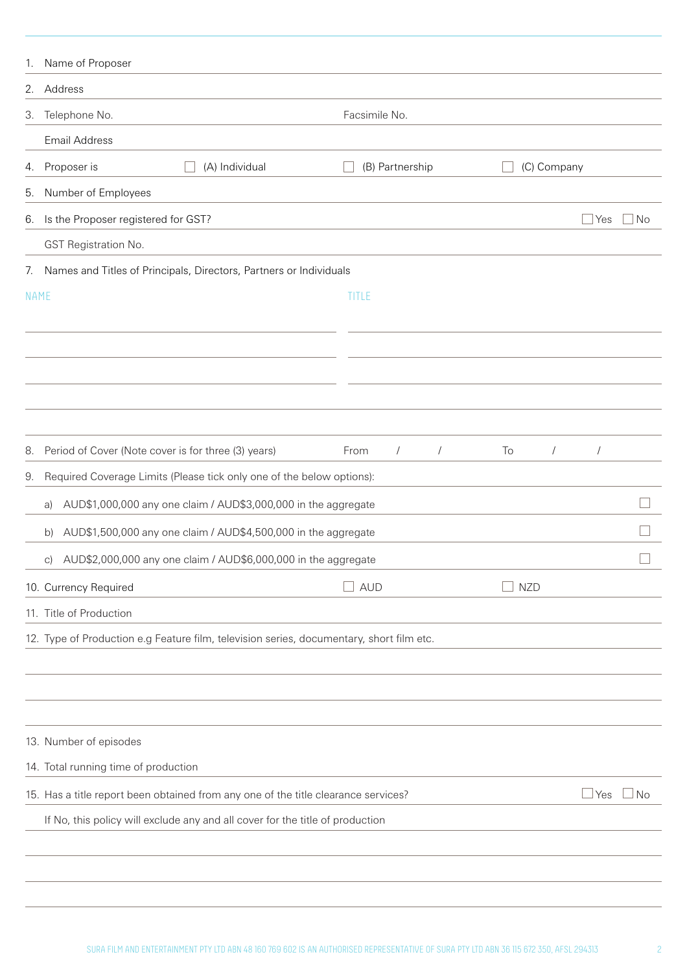| 1.          | Name of Proposer                                                                         |                                  |                  |                    |
|-------------|------------------------------------------------------------------------------------------|----------------------------------|------------------|--------------------|
| 2.          | Address                                                                                  |                                  |                  |                    |
| 3.          | Telephone No.                                                                            | Facsimile No.                    |                  |                    |
|             | <b>Email Address</b>                                                                     |                                  |                  |                    |
| 4.          | (A) Individual<br>Proposer is                                                            | (B) Partnership                  | (C) Company      |                    |
| 5.          | Number of Employees                                                                      |                                  |                  |                    |
| 6.          | Is the Proposer registered for GST?                                                      |                                  |                  | <b>No</b><br>  Yes |
|             | GST Registration No.                                                                     |                                  |                  |                    |
| 7.          | Names and Titles of Principals, Directors, Partners or Individuals                       |                                  |                  |                    |
| <b>NAME</b> |                                                                                          | TITLE                            |                  |                    |
|             |                                                                                          |                                  |                  |                    |
|             |                                                                                          |                                  |                  |                    |
|             |                                                                                          |                                  |                  |                    |
|             |                                                                                          |                                  |                  |                    |
|             |                                                                                          |                                  |                  |                    |
| 8.          | Period of Cover (Note cover is for three (3) years)                                      | $\sqrt{2}$<br>From<br>$\sqrt{2}$ | To<br>$\sqrt{2}$ | $\sqrt{2}$         |
| 9.          | Required Coverage Limits (Please tick only one of the below options):                    |                                  |                  |                    |
|             | AUD\$1,000,000 any one claim / AUD\$3,000,000 in the aggregate<br>a)                     |                                  |                  |                    |
|             | AUD\$1,500,000 any one claim / AUD\$4,500,000 in the aggregate<br>b)                     |                                  |                  |                    |
|             | c) AUD\$2,000,000 any one claim / AUD\$6,000,000 in the aggregate                        |                                  |                  |                    |
|             | 10. Currency Required                                                                    | <b>AUD</b>                       | <b>NZD</b>       |                    |
|             | 11. Title of Production                                                                  |                                  |                  |                    |
|             | 12. Type of Production e.g Feature film, television series, documentary, short film etc. |                                  |                  |                    |
|             |                                                                                          |                                  |                  |                    |
|             |                                                                                          |                                  |                  |                    |
|             |                                                                                          |                                  |                  |                    |
|             | 13. Number of episodes                                                                   |                                  |                  |                    |
|             | 14. Total running time of production                                                     |                                  |                  |                    |
|             | 15. Has a title report been obtained from any one of the title clearance services?       |                                  |                  | No<br>Yes          |
|             | If No, this policy will exclude any and all cover for the title of production            |                                  |                  |                    |
|             |                                                                                          |                                  |                  |                    |
|             |                                                                                          |                                  |                  |                    |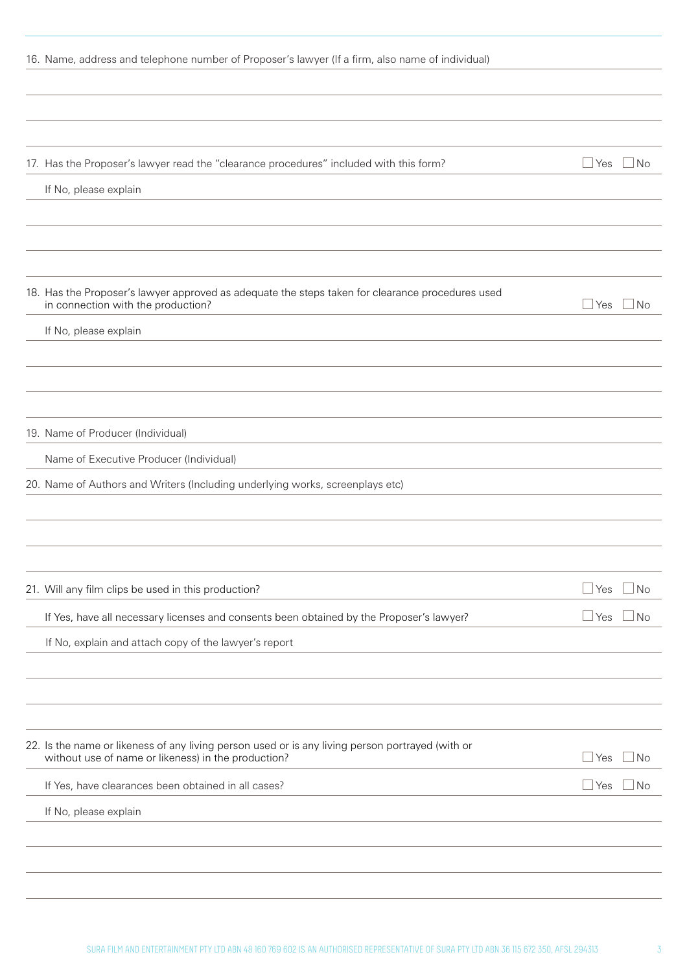| 16. Name, address and telephone number of Proposer's lawyer (If a firm, also name of individual)                                                        |              |           |
|---------------------------------------------------------------------------------------------------------------------------------------------------------|--------------|-----------|
|                                                                                                                                                         |              |           |
|                                                                                                                                                         |              |           |
|                                                                                                                                                         |              |           |
| 17. Has the Proposer's lawyer read the "clearance procedures" included with this form?                                                                  | $\Box$ Yes   | $\Box$ No |
| If No, please explain                                                                                                                                   |              |           |
|                                                                                                                                                         |              |           |
|                                                                                                                                                         |              |           |
|                                                                                                                                                         |              |           |
| 18. Has the Proposer's lawyer approved as adequate the steps taken for clearance procedures used<br>in connection with the production?                  | ⊿ Yes        | $\Box$ No |
| If No, please explain                                                                                                                                   |              |           |
|                                                                                                                                                         |              |           |
|                                                                                                                                                         |              |           |
|                                                                                                                                                         |              |           |
| 19. Name of Producer (Individual)                                                                                                                       |              |           |
| Name of Executive Producer (Individual)                                                                                                                 |              |           |
| 20. Name of Authors and Writers (Including underlying works, screenplays etc)                                                                           |              |           |
|                                                                                                                                                         |              |           |
|                                                                                                                                                         |              |           |
|                                                                                                                                                         |              |           |
| 21. Will any film clips be used in this production?                                                                                                     | $\Box$ Yes   | $\Box$ No |
| If Yes, have all necessary licenses and consents been obtained by the Proposer's lawyer?                                                                | $\Box$ Yes   | $\Box$ No |
| If No, explain and attach copy of the lawyer's report                                                                                                   |              |           |
|                                                                                                                                                         |              |           |
|                                                                                                                                                         |              |           |
|                                                                                                                                                         |              |           |
| 22. Is the name or likeness of any living person used or is any living person portrayed (with or<br>without use of name or likeness) in the production? | $\sqcup$ Yes | ⊿ No      |
| If Yes, have clearances been obtained in all cases?                                                                                                     | $\Box$ Yes   | ⊿ No      |
| If No, please explain                                                                                                                                   |              |           |
|                                                                                                                                                         |              |           |
|                                                                                                                                                         |              |           |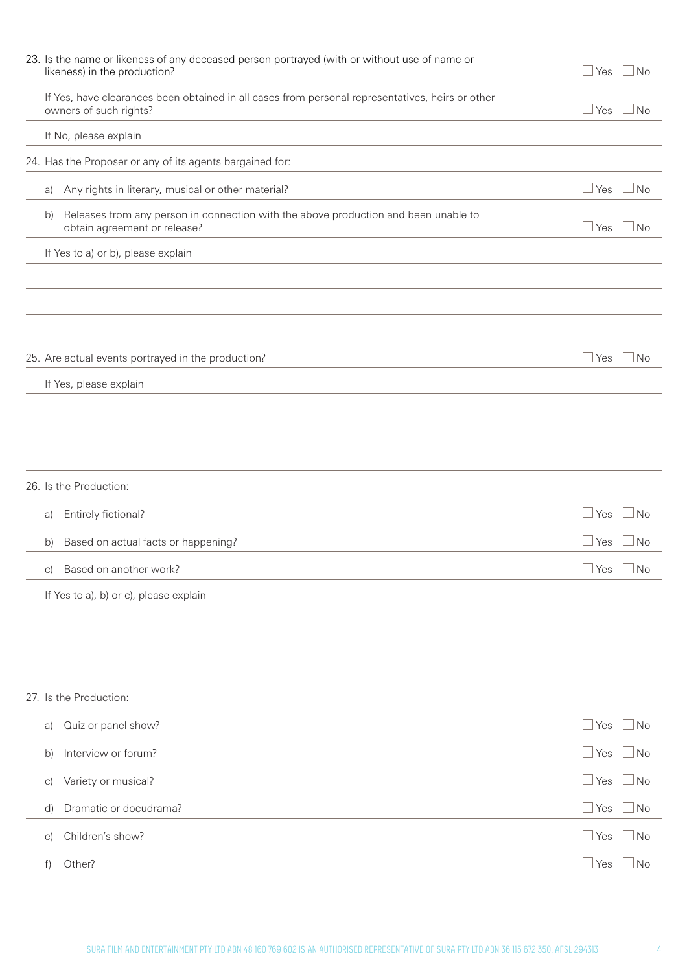|              | 23. Is the name or likeness of any deceased person portrayed (with or without use of name or<br>likeness) in the production? | ⊥Yes                 | $\sqcup$ No |
|--------------|------------------------------------------------------------------------------------------------------------------------------|----------------------|-------------|
|              | If Yes, have clearances been obtained in all cases from personal representatives, heirs or other<br>owners of such rights?   | ⊿Yes                 | ⊥No         |
|              | If No, please explain                                                                                                        |                      |             |
|              | 24. Has the Proposer or any of its agents bargained for:                                                                     |                      |             |
| a)           | Any rights in literary, musical or other material?                                                                           | ⊥Yes                 | ⊿ No        |
| b)           | Releases from any person in connection with the above production and been unable to<br>obtain agreement or release?          | l Yes                | No          |
|              | If Yes to a) or b), please explain                                                                                           |                      |             |
|              |                                                                                                                              |                      |             |
|              |                                                                                                                              |                      |             |
|              |                                                                                                                              |                      |             |
|              | 25. Are actual events portrayed in the production?                                                                           | $\Box$ Yes           | $\Box$ No   |
|              | If Yes, please explain                                                                                                       |                      |             |
|              |                                                                                                                              |                      |             |
|              |                                                                                                                              |                      |             |
|              |                                                                                                                              |                      |             |
|              | 26. Is the Production:                                                                                                       |                      |             |
| a)           | Entirely fictional?                                                                                                          | ∃Yes                 | $\Box$ No   |
| b)           | Based on actual facts or happening?                                                                                          | Yes                  | <b>No</b>   |
| C)           | Based on another work?                                                                                                       | Yes                  | No          |
|              | If Yes to a), b) or c), please explain                                                                                       |                      |             |
|              |                                                                                                                              |                      |             |
|              |                                                                                                                              |                      |             |
|              |                                                                                                                              |                      |             |
|              | 27. Is the Production:                                                                                                       |                      |             |
| a)           | Quiz or panel show?                                                                                                          | $\mathsf{\perp}$ Yes | ∃No         |
| $\mathsf{b}$ | Interview or forum?                                                                                                          | $\mathsf{\perp}$ Yes | No          |
| $\vert$ C)   | Variety or musical?                                                                                                          | $\sqcup$ Yes         | No.         |
| d)           | Dramatic or docudrama?                                                                                                       | $\sqcup$ Yes         | No          |
|              | Children's show?                                                                                                             |                      | No          |
| $\Theta$     |                                                                                                                              | ⊥Yes                 |             |
| f)           | Other?                                                                                                                       | $\mathsf{\perp}$ Yes | ⊥No         |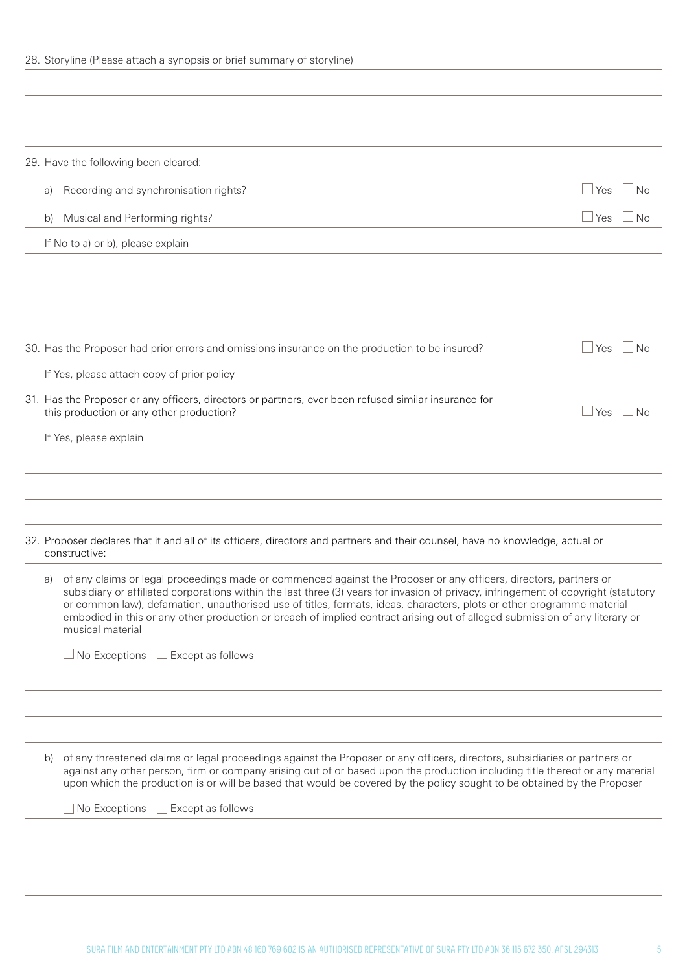|  |  |  |  |  |  | 28. Storyline (Please attach a synopsis or brief summary of storyline) |  |  |
|--|--|--|--|--|--|------------------------------------------------------------------------|--|--|
|--|--|--|--|--|--|------------------------------------------------------------------------|--|--|

|    | 29. Have the following been cleared:                                                                                                                                                                                                                                                                                                                                                                                                                                                                                                 |                         |
|----|--------------------------------------------------------------------------------------------------------------------------------------------------------------------------------------------------------------------------------------------------------------------------------------------------------------------------------------------------------------------------------------------------------------------------------------------------------------------------------------------------------------------------------------|-------------------------|
| a) | Recording and synchronisation rights?                                                                                                                                                                                                                                                                                                                                                                                                                                                                                                | $\Box$ Yes<br>$\Box$ No |
| b) | Musical and Performing rights?                                                                                                                                                                                                                                                                                                                                                                                                                                                                                                       | $\Box$ Yes<br>$\Box$ No |
|    | If No to a) or b), please explain                                                                                                                                                                                                                                                                                                                                                                                                                                                                                                    |                         |
|    |                                                                                                                                                                                                                                                                                                                                                                                                                                                                                                                                      |                         |
|    |                                                                                                                                                                                                                                                                                                                                                                                                                                                                                                                                      |                         |
|    | 30. Has the Proposer had prior errors and omissions insurance on the production to be insured?                                                                                                                                                                                                                                                                                                                                                                                                                                       | $\sqcup$ Yes<br>⊿ No    |
|    | If Yes, please attach copy of prior policy                                                                                                                                                                                                                                                                                                                                                                                                                                                                                           |                         |
|    | 31. Has the Proposer or any officers, directors or partners, ever been refused similar insurance for<br>this production or any other production?                                                                                                                                                                                                                                                                                                                                                                                     | $\Box$ Yes<br>$\Box$ No |
|    | If Yes, please explain                                                                                                                                                                                                                                                                                                                                                                                                                                                                                                               |                         |
|    | 32. Proposer declares that it and all of its officers, directors and partners and their counsel, have no knowledge, actual or<br>constructive:                                                                                                                                                                                                                                                                                                                                                                                       |                         |
| a) | of any claims or legal proceedings made or commenced against the Proposer or any officers, directors, partners or<br>subsidiary or affiliated corporations within the last three (3) years for invasion of privacy, infringement of copyright (statutory<br>or common law), defamation, unauthorised use of titles, formats, ideas, characters, plots or other programme material<br>embodied in this or any other production or breach of implied contract arising out of alleged submission of any literary or<br>musical material |                         |
|    | $\Box$ No Exceptions<br>Except as follows                                                                                                                                                                                                                                                                                                                                                                                                                                                                                            |                         |
|    |                                                                                                                                                                                                                                                                                                                                                                                                                                                                                                                                      |                         |
|    |                                                                                                                                                                                                                                                                                                                                                                                                                                                                                                                                      |                         |
| b) | of any threatened claims or legal proceedings against the Proposer or any officers, directors, subsidiaries or partners or<br>against any other person, firm or company arising out of or based upon the production including title thereof or any material<br>upon which the production is or will be based that would be covered by the policy sought to be obtained by the Proposer                                                                                                                                               |                         |
|    | No Exceptions<br>Except as follows                                                                                                                                                                                                                                                                                                                                                                                                                                                                                                   |                         |
|    |                                                                                                                                                                                                                                                                                                                                                                                                                                                                                                                                      |                         |
|    |                                                                                                                                                                                                                                                                                                                                                                                                                                                                                                                                      |                         |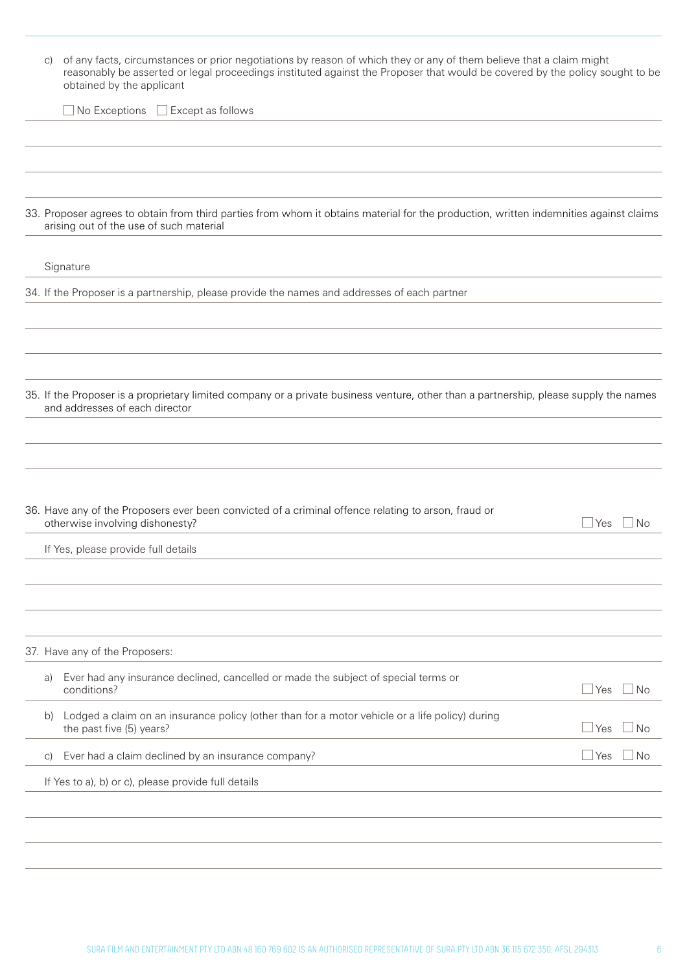| C)         | of any facts, circumstances or prior negotiations by reason of which they or any of them believe that a claim might<br>reasonably be asserted or legal proceedings instituted against the Proposer that would be covered by the policy sought to be<br>obtained by the applicant |                              |
|------------|----------------------------------------------------------------------------------------------------------------------------------------------------------------------------------------------------------------------------------------------------------------------------------|------------------------------|
|            | $\Box$ No Exceptions $\Box$ Except as follows                                                                                                                                                                                                                                    |                              |
|            |                                                                                                                                                                                                                                                                                  |                              |
|            | 33. Proposer agrees to obtain from third parties from whom it obtains material for the production, written indemnities against claims<br>arising out of the use of such material                                                                                                 |                              |
|            | Signature                                                                                                                                                                                                                                                                        |                              |
|            | 34. If the Proposer is a partnership, please provide the names and addresses of each partner                                                                                                                                                                                     |                              |
|            |                                                                                                                                                                                                                                                                                  |                              |
|            |                                                                                                                                                                                                                                                                                  |                              |
|            | 35. If the Proposer is a proprietary limited company or a private business venture, other than a partnership, please supply the names<br>and addresses of each director                                                                                                          |                              |
|            |                                                                                                                                                                                                                                                                                  |                              |
|            |                                                                                                                                                                                                                                                                                  |                              |
|            | 36. Have any of the Proposers ever been convicted of a criminal offence relating to arson, fraud or<br>otherwise involving dishonesty?                                                                                                                                           | $\Box$ Yes<br>N <sub>o</sub> |
|            | If Yes, please provide full details                                                                                                                                                                                                                                              |                              |
|            |                                                                                                                                                                                                                                                                                  |                              |
|            |                                                                                                                                                                                                                                                                                  |                              |
|            | 37. Have any of the Proposers:                                                                                                                                                                                                                                                   |                              |
| a)         | Ever had any insurance declined, cancelled or made the subject of special terms or<br>conditions?                                                                                                                                                                                | $\Box$ Yes<br>$\vert$ No     |
| b)         | Lodged a claim on an insurance policy (other than for a motor vehicle or a life policy) during<br>the past five (5) years?                                                                                                                                                       | $\Box$ Yes<br>$\Box$ No      |
| $\vert$ C) | Ever had a claim declined by an insurance company?                                                                                                                                                                                                                               | $\Box$ Yes<br>$\Box$ No      |
|            | If Yes to a), b) or c), please provide full details                                                                                                                                                                                                                              |                              |
|            |                                                                                                                                                                                                                                                                                  |                              |
|            |                                                                                                                                                                                                                                                                                  |                              |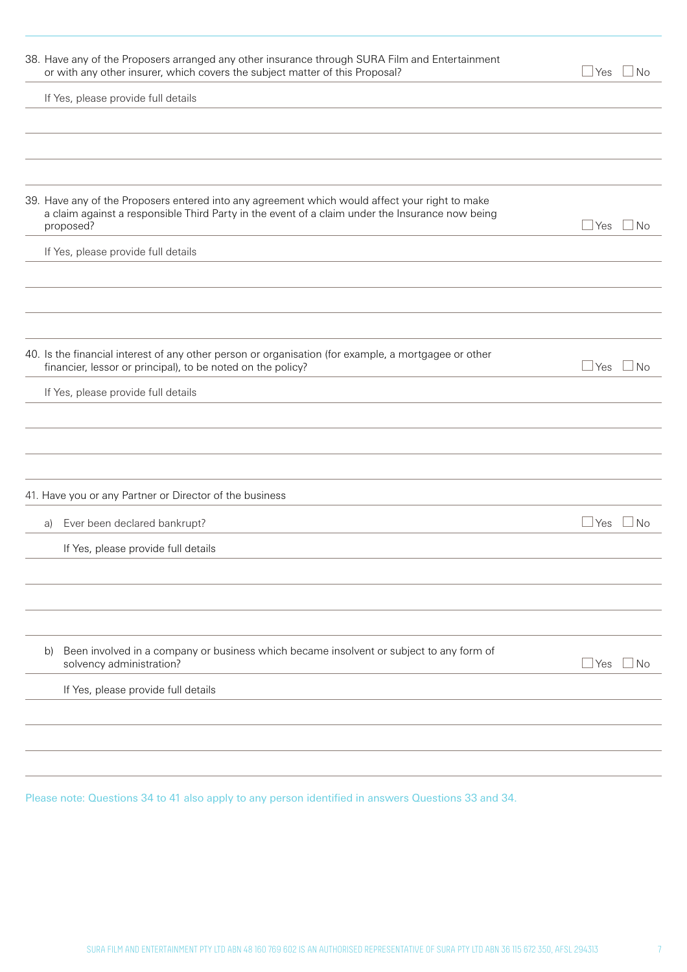| 38. Have any of the Proposers arranged any other insurance through SURA Film and Entertainment<br>or with any other insurer, which covers the subject matter of this Proposal?                                 | ⊿ Yes<br>l No                          |
|----------------------------------------------------------------------------------------------------------------------------------------------------------------------------------------------------------------|----------------------------------------|
| If Yes, please provide full details                                                                                                                                                                            |                                        |
|                                                                                                                                                                                                                |                                        |
|                                                                                                                                                                                                                |                                        |
|                                                                                                                                                                                                                |                                        |
| 39. Have any of the Proposers entered into any agreement which would affect your right to make<br>a claim against a responsible Third Party in the event of a claim under the Insurance now being<br>proposed? | $\Box$ Yes<br>$\overline{\mathsf{No}}$ |
| If Yes, please provide full details                                                                                                                                                                            |                                        |
|                                                                                                                                                                                                                |                                        |
|                                                                                                                                                                                                                |                                        |
|                                                                                                                                                                                                                |                                        |
| 40. Is the financial interest of any other person or organisation (for example, a mortgagee or other<br>financier, lessor or principal), to be noted on the policy?                                            | N <sub>o</sub><br>⊿ Yes                |
| If Yes, please provide full details                                                                                                                                                                            |                                        |
|                                                                                                                                                                                                                |                                        |
|                                                                                                                                                                                                                |                                        |
|                                                                                                                                                                                                                |                                        |
| 41. Have you or any Partner or Director of the business                                                                                                                                                        |                                        |
| Ever been declared bankrupt?<br>a)                                                                                                                                                                             | l No<br>$\sqcup$ Yes                   |
| If Yes, please provide full details                                                                                                                                                                            |                                        |
|                                                                                                                                                                                                                |                                        |
|                                                                                                                                                                                                                |                                        |
|                                                                                                                                                                                                                |                                        |
| Been involved in a company or business which became insolvent or subject to any form of<br>b)<br>solvency administration?                                                                                      | $\Box$ Yes<br>  No                     |
| If Yes, please provide full details                                                                                                                                                                            |                                        |
|                                                                                                                                                                                                                |                                        |
|                                                                                                                                                                                                                |                                        |
|                                                                                                                                                                                                                |                                        |

Please note: Questions 34 to 41 also apply to any person identified in answers Questions 33 and 34.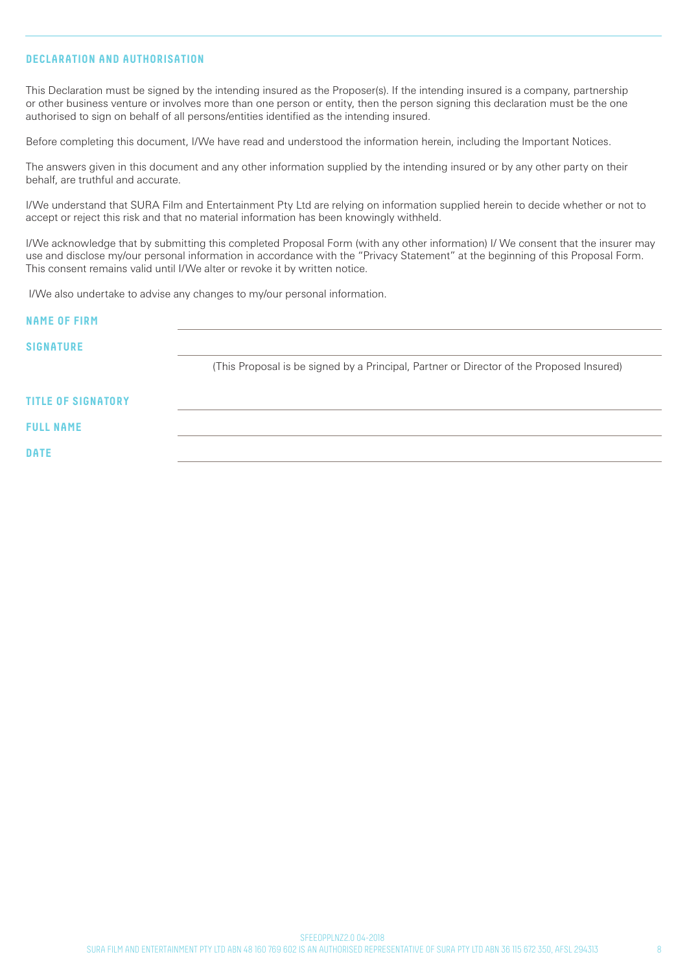## **DECLARATION AND AUTHORISATION**

This Declaration must be signed by the intending insured as the Proposer(s). If the intending insured is a company, partnership or other business venture or involves more than one person or entity, then the person signing this declaration must be the one authorised to sign on behalf of all persons/entities identified as the intending insured.

Before completing this document, I/We have read and understood the information herein, including the Important Notices.

The answers given in this document and any other information supplied by the intending insured or by any other party on their behalf, are truthful and accurate.

I/We understand that SURA Film and Entertainment Pty Ltd are relying on information supplied herein to decide whether or not to accept or reject this risk and that no material information has been knowingly withheld.

I/We acknowledge that by submitting this completed Proposal Form (with any other information) I/ We consent that the insurer may use and disclose my/our personal information in accordance with the "Privacy Statement" at the beginning of this Proposal Form. This consent remains valid until I/We alter or revoke it by written notice.

I/We also undertake to advise any changes to my/our personal information.

| <b>NAME OF FIRM</b>       |                                                                                          |
|---------------------------|------------------------------------------------------------------------------------------|
| <b>SIGNATURE</b>          |                                                                                          |
|                           | (This Proposal is be signed by a Principal, Partner or Director of the Proposed Insured) |
| <b>TITLE OF SIGNATORY</b> |                                                                                          |
| <b>FULL NAME</b>          |                                                                                          |
| <b>DATE</b>               |                                                                                          |